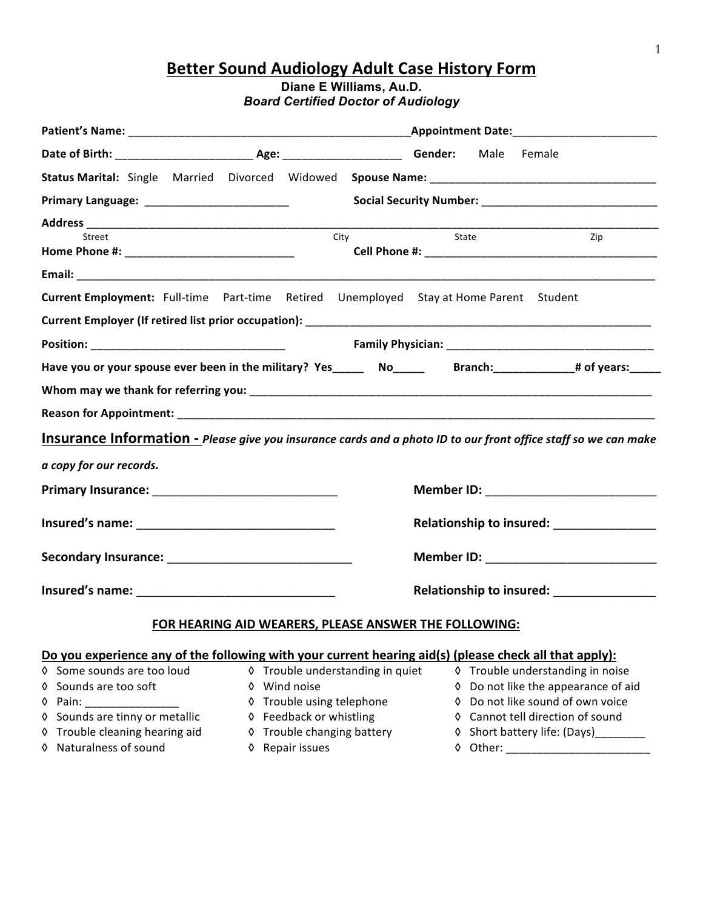# **Better Sound Audiology Adult Case History Form**

## **Diane E Williams, Au.D.** *Board Certified Doctor of Audiology*

| Street                                              |                                                       | <b>State</b><br>City                                                                                                                       | Zip                                                                                     |  |  |
|-----------------------------------------------------|-------------------------------------------------------|--------------------------------------------------------------------------------------------------------------------------------------------|-----------------------------------------------------------------------------------------|--|--|
|                                                     |                                                       |                                                                                                                                            |                                                                                         |  |  |
|                                                     |                                                       | Current Employment: Full-time Part-time Retired Unemployed Stay at Home Parent Student                                                     |                                                                                         |  |  |
|                                                     |                                                       |                                                                                                                                            |                                                                                         |  |  |
|                                                     |                                                       |                                                                                                                                            |                                                                                         |  |  |
|                                                     |                                                       | Have you or your spouse ever been in the military? Yes______ No_____ Branch:__________# of years:_____                                     |                                                                                         |  |  |
|                                                     |                                                       |                                                                                                                                            |                                                                                         |  |  |
|                                                     |                                                       |                                                                                                                                            |                                                                                         |  |  |
|                                                     |                                                       |                                                                                                                                            |                                                                                         |  |  |
|                                                     |                                                       | Insurance Information - Please give you insurance cards and a photo ID to our front office staff so we can make                            |                                                                                         |  |  |
| a copy for our records.                             |                                                       |                                                                                                                                            |                                                                                         |  |  |
|                                                     |                                                       |                                                                                                                                            |                                                                                         |  |  |
|                                                     |                                                       |                                                                                                                                            |                                                                                         |  |  |
|                                                     |                                                       |                                                                                                                                            |                                                                                         |  |  |
|                                                     |                                                       |                                                                                                                                            |                                                                                         |  |  |
|                                                     |                                                       |                                                                                                                                            |                                                                                         |  |  |
|                                                     |                                                       |                                                                                                                                            |                                                                                         |  |  |
|                                                     |                                                       |                                                                                                                                            | Relationship to insured: ________________<br>Member ID: _______________________________ |  |  |
|                                                     |                                                       |                                                                                                                                            | Relationship to insured: _________________                                              |  |  |
|                                                     |                                                       | FOR HEARING AID WEARERS, PLEASE ANSWER THE FOLLOWING:                                                                                      |                                                                                         |  |  |
|                                                     |                                                       |                                                                                                                                            |                                                                                         |  |  |
|                                                     |                                                       | Do you experience any of the following with your current hearing aid(s) (please check all that apply):<br>♦ Trouble understanding in quiet | ♦ Trouble understanding in noise                                                        |  |  |
| ♦ Some sounds are too loud<br>♦ Sounds are too soft | Wind noise<br>♦                                       |                                                                                                                                            | Do not like the appearance of aid                                                       |  |  |
|                                                     | Trouble using telephone<br>◊                          | ♦                                                                                                                                          | Do not like sound of own voice                                                          |  |  |
| ♦ Pain:<br>♦ Sounds are tinny or metallic           |                                                       | ◊                                                                                                                                          | Cannot tell direction of sound                                                          |  |  |
| ♦ Trouble cleaning hearing aid                      | ♦ Feedback or whistling<br>♦ Trouble changing battery |                                                                                                                                            | ♦ Short battery life: (Days)_______                                                     |  |  |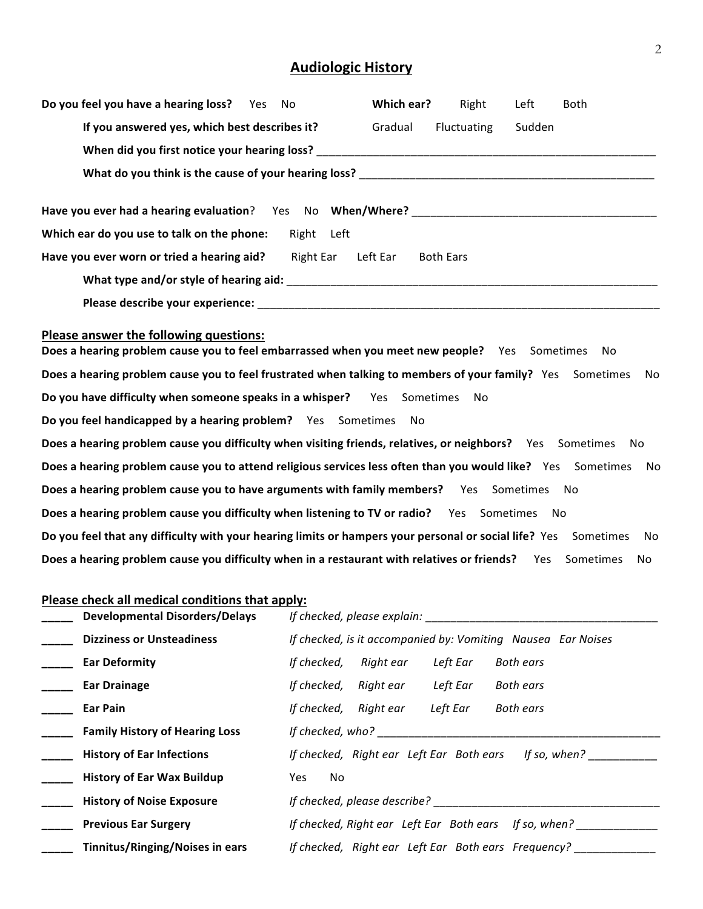# **Audiologic History**

| Do you feel you have a hearing loss? Yes<br><b>No</b>                                                                                                                                                                                               | Which ear? | Right            | Left   | <b>Both</b>     |
|-----------------------------------------------------------------------------------------------------------------------------------------------------------------------------------------------------------------------------------------------------|------------|------------------|--------|-----------------|
| If you answered yes, which best describes it?                                                                                                                                                                                                       | Gradual    | Fluctuating      | Sudden |                 |
|                                                                                                                                                                                                                                                     |            |                  |        |                 |
|                                                                                                                                                                                                                                                     |            |                  |        |                 |
|                                                                                                                                                                                                                                                     |            |                  |        |                 |
| Which ear do you use to talk on the phone:                                                                                                                                                                                                          | Right Left |                  |        |                 |
| <b>Right Ear</b><br>Have you ever worn or tried a hearing aid?                                                                                                                                                                                      | Left Ear   | <b>Both Ears</b> |        |                 |
|                                                                                                                                                                                                                                                     |            |                  |        |                 |
|                                                                                                                                                                                                                                                     |            |                  |        |                 |
| Please answer the following questions:<br>Does a hearing problem cause you to feel embarrassed when you meet new people? Yes Sometimes<br>Does a hearing problem cause you to feel frustrated when talking to members of your family? Yes Sometimes |            |                  |        | No.<br>No       |
| Do you have difficulty when someone speaks in a whisper? Yes Sometimes                                                                                                                                                                              |            | <b>No</b>        |        |                 |
| Do you feel handicapped by a hearing problem? Yes Sometimes                                                                                                                                                                                         | No         |                  |        |                 |
| Does a hearing problem cause you difficulty when visiting friends, relatives, or neighbors? Yes Sometimes                                                                                                                                           |            |                  |        | No              |
| Does a hearing problem cause you to attend religious services less often than you would like? Yes Sometimes                                                                                                                                         |            |                  |        | No.             |
| Does a hearing problem cause you to have arguments with family members? Yes Sometimes                                                                                                                                                               |            |                  |        | <b>No</b>       |
| Does a hearing problem cause you difficulty when listening to TV or radio? Yes Sometimes                                                                                                                                                            |            |                  | - No   |                 |
| Do you feel that any difficulty with your hearing limits or hampers your personal or social life? Yes Sometimes                                                                                                                                     |            |                  |        | No              |
| Does a hearing problem cause you difficulty when in a restaurant with relatives or friends?                                                                                                                                                         |            |                  | Yes    | Sometimes<br>No |
| Please check all medical conditions that apply:                                                                                                                                                                                                     |            |                  |        |                 |

| <b>Developmental Disorders/Delays</b> | If checked, please explain:                                  |
|---------------------------------------|--------------------------------------------------------------|
| <b>Dizziness or Unsteadiness</b>      | If checked, is it accompanied by: Vomiting Nausea Ear Noises |
| <b>Ear Deformity</b>                  | Right ear<br>Left Ear<br><b>Both ears</b><br>If checked,     |
| <b>Ear Drainage</b>                   | Left Ear<br>If checked, Right ear<br><b>Both ears</b>        |
| Ear Pain                              | Left Ear<br>If checked, Right ear<br><b>Both ears</b>        |
| <b>Family History of Hearing Loss</b> | If checked, who?                                             |
| <b>History of Ear Infections</b>      | If checked, Right ear Left Ear Both ears If so, when?        |
| <b>History of Ear Wax Buildup</b>     | No<br>Yes                                                    |
| <b>History of Noise Exposure</b>      | If checked, please describe?                                 |
| <b>Previous Ear Surgery</b>           | If checked, Right ear Left Ear Both ears If so, when?        |
| Tinnitus/Ringing/Noises in ears       | If checked, Right ear Left Ear Both ears Frequency?          |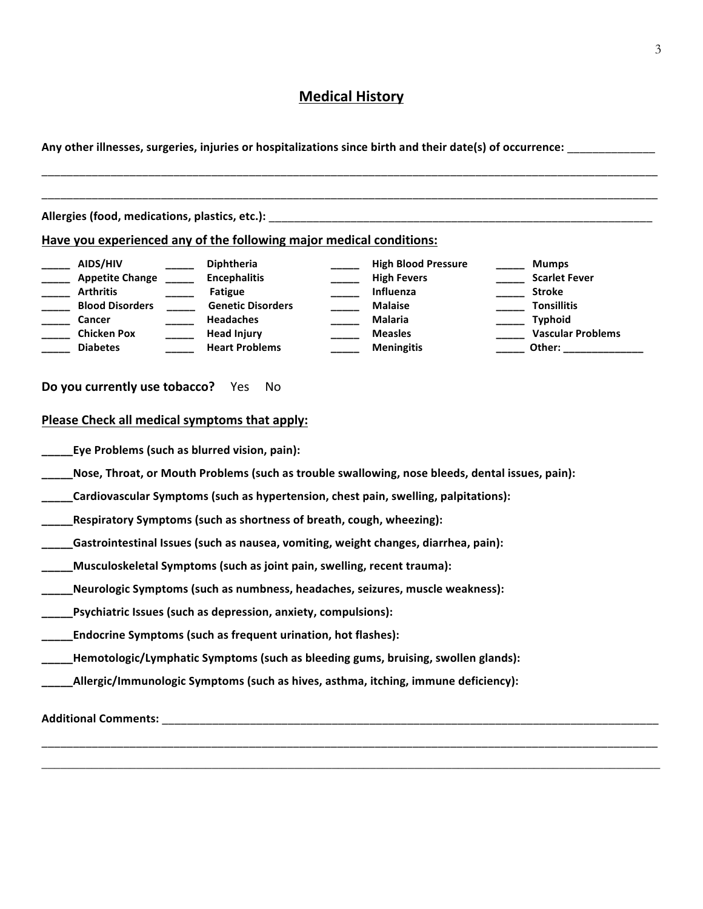## **Medical History**

**Any other illnesses, surgeries, injuries or hospitalizations since birth and their date(s) of occurrence:** \_\_\_\_\_\_\_\_\_\_\_\_\_\_

| Allergies (food, medications, plastics, etc.):                                                                                     |                                                                                                                                                           | <u> 1980 - Jan James James James James James James James James James James James James James James James James J</u>                     |                                                                                                                                                                                                                                                                                                                                                      |
|------------------------------------------------------------------------------------------------------------------------------------|-----------------------------------------------------------------------------------------------------------------------------------------------------------|------------------------------------------------------------------------------------------------------------------------------------------|------------------------------------------------------------------------------------------------------------------------------------------------------------------------------------------------------------------------------------------------------------------------------------------------------------------------------------------------------|
|                                                                                                                                    | Have you experienced any of the following major medical conditions:                                                                                       |                                                                                                                                          |                                                                                                                                                                                                                                                                                                                                                      |
| AIDS/HIV<br>Appetite Change _____<br><b>Arthritis</b><br><b>Blood Disorders</b><br>Cancer<br><b>Chicken Pox</b><br><b>Diabetes</b> | <b>Diphtheria</b><br><b>Encephalitis</b><br><b>Fatigue</b><br><b>Genetic Disorders</b><br><b>Headaches</b><br><b>Head Injury</b><br><b>Heart Problems</b> | <b>High Blood Pressure</b><br><b>High Fevers</b><br>Influenza<br><b>Malaise</b><br><b>Malaria</b><br><b>Measles</b><br><b>Meningitis</b> | <b>Mumps</b><br><b>Scarlet Fever</b><br><b>Stroke</b><br><b>Tonsillitis</b><br>Typhoid<br><b>Vascular Problems</b><br>Other: the contract of the contract of the contract of the contract of the contract of the contract of the contract of the contract of the contract of the contract of the contract of the contract of the contract of the con |
| Do you currently use tobacco? Yes                                                                                                  | No.                                                                                                                                                       |                                                                                                                                          |                                                                                                                                                                                                                                                                                                                                                      |
| Please Check all medical symptoms that apply:                                                                                      |                                                                                                                                                           |                                                                                                                                          |                                                                                                                                                                                                                                                                                                                                                      |
|                                                                                                                                    |                                                                                                                                                           |                                                                                                                                          |                                                                                                                                                                                                                                                                                                                                                      |
|                                                                                                                                    | Eye Problems (such as blurred vision, pain):                                                                                                              |                                                                                                                                          |                                                                                                                                                                                                                                                                                                                                                      |
|                                                                                                                                    |                                                                                                                                                           | Nose, Throat, or Mouth Problems (such as trouble swallowing, nose bleeds, dental issues, pain):                                          |                                                                                                                                                                                                                                                                                                                                                      |
|                                                                                                                                    |                                                                                                                                                           | Cardiovascular Symptoms (such as hypertension, chest pain, swelling, palpitations):                                                      |                                                                                                                                                                                                                                                                                                                                                      |
|                                                                                                                                    | Respiratory Symptoms (such as shortness of breath, cough, wheezing):                                                                                      |                                                                                                                                          |                                                                                                                                                                                                                                                                                                                                                      |
|                                                                                                                                    |                                                                                                                                                           | Gastrointestinal Issues (such as nausea, vomiting, weight changes, diarrhea, pain):                                                      |                                                                                                                                                                                                                                                                                                                                                      |
|                                                                                                                                    | Musculoskeletal Symptoms (such as joint pain, swelling, recent trauma):                                                                                   |                                                                                                                                          |                                                                                                                                                                                                                                                                                                                                                      |
|                                                                                                                                    |                                                                                                                                                           | Neurologic Symptoms (such as numbness, headaches, seizures, muscle weakness):                                                            |                                                                                                                                                                                                                                                                                                                                                      |
|                                                                                                                                    |                                                                                                                                                           |                                                                                                                                          |                                                                                                                                                                                                                                                                                                                                                      |
|                                                                                                                                    | Psychiatric Issues (such as depression, anxiety, compulsions):<br>Endocrine Symptoms (such as frequent urination, hot flashes):                           |                                                                                                                                          |                                                                                                                                                                                                                                                                                                                                                      |
|                                                                                                                                    |                                                                                                                                                           | Hemotologic/Lymphatic Symptoms (such as bleeding gums, bruising, swollen glands):                                                        |                                                                                                                                                                                                                                                                                                                                                      |

\_\_\_\_\_\_\_\_\_\_\_\_\_\_\_\_\_\_\_\_\_\_\_\_\_\_\_\_\_\_\_\_\_\_\_\_\_\_\_\_\_\_\_\_\_\_\_\_\_\_\_\_\_\_\_\_\_\_\_\_\_\_\_\_\_\_\_\_\_\_\_\_\_\_\_\_\_\_\_\_\_\_\_\_\_\_\_\_\_\_\_\_\_\_\_\_\_\_ \_\_\_\_\_\_\_\_\_\_\_\_\_\_\_\_\_\_\_\_\_\_\_\_\_\_\_\_\_\_\_\_\_\_\_\_\_\_\_\_\_\_\_\_\_\_\_\_\_\_\_\_\_\_\_\_\_\_\_\_\_\_\_\_\_\_\_\_\_\_\_\_\_\_\_\_\_\_\_\_\_\_\_\_\_\_\_\_\_\_\_\_\_\_\_\_\_\_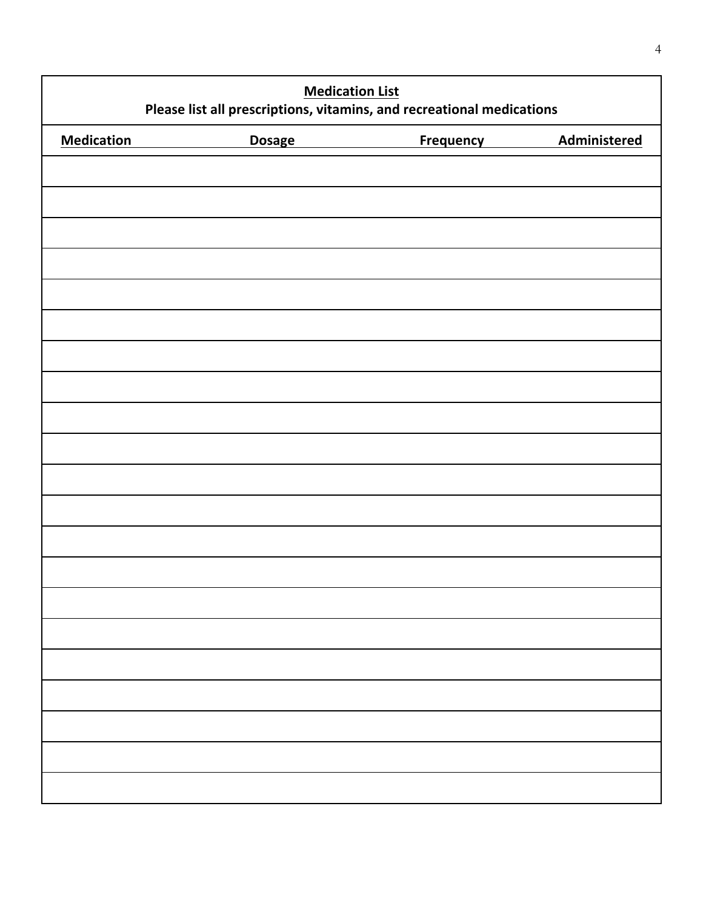| <b>Medication List</b><br>Please list all prescriptions, vitamins, and recreational medications |               |                  |              |
|-------------------------------------------------------------------------------------------------|---------------|------------------|--------------|
| <b>Medication</b>                                                                               | <b>Dosage</b> | <b>Frequency</b> | Administered |
|                                                                                                 |               |                  |              |
|                                                                                                 |               |                  |              |
|                                                                                                 |               |                  |              |
|                                                                                                 |               |                  |              |
|                                                                                                 |               |                  |              |
|                                                                                                 |               |                  |              |
|                                                                                                 |               |                  |              |
|                                                                                                 |               |                  |              |
|                                                                                                 |               |                  |              |
|                                                                                                 |               |                  |              |
|                                                                                                 |               |                  |              |
|                                                                                                 |               |                  |              |
|                                                                                                 |               |                  |              |
|                                                                                                 |               |                  |              |
|                                                                                                 |               |                  |              |
|                                                                                                 |               |                  |              |
|                                                                                                 |               |                  |              |
|                                                                                                 |               |                  |              |
|                                                                                                 |               |                  |              |
|                                                                                                 |               |                  |              |
|                                                                                                 |               |                  |              |
|                                                                                                 |               |                  |              |
|                                                                                                 |               |                  |              |
|                                                                                                 |               |                  |              |